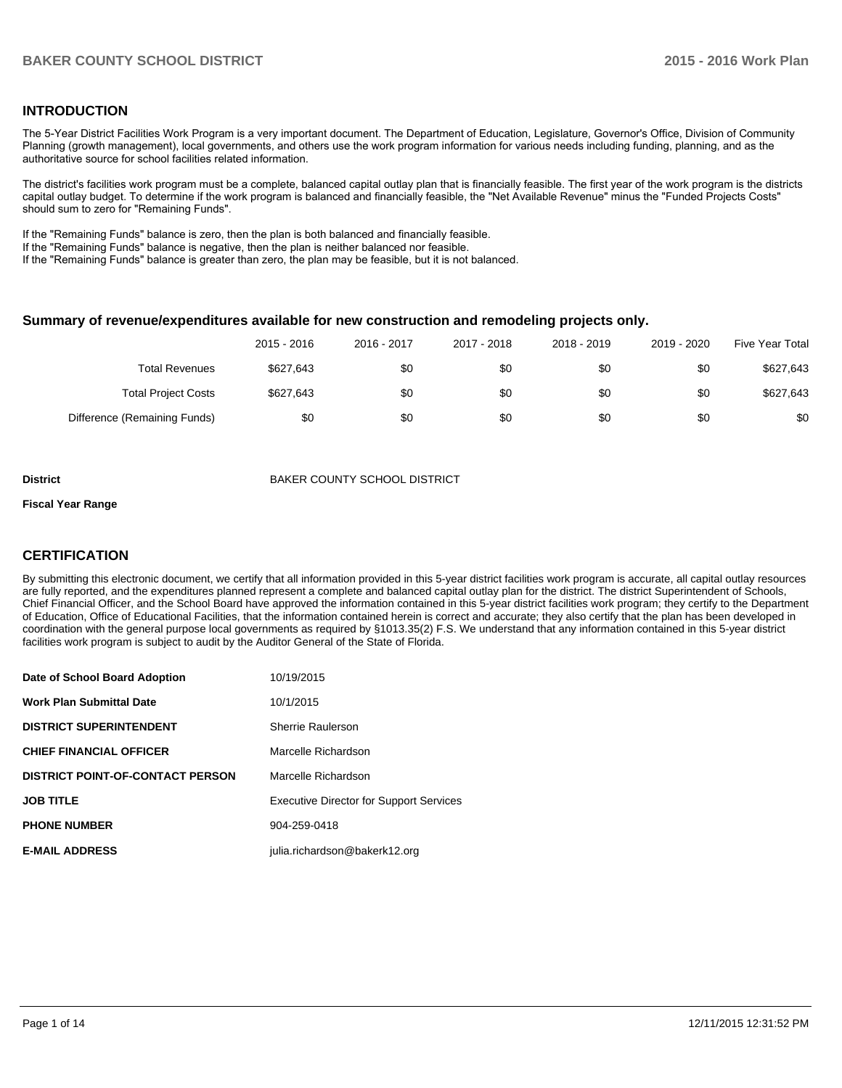## **INTRODUCTION**

The 5-Year District Facilities Work Program is a very important document. The Department of Education, Legislature, Governor's Office, Division of Community Planning (growth management), local governments, and others use the work program information for various needs including funding, planning, and as the authoritative source for school facilities related information.

The district's facilities work program must be a complete, balanced capital outlay plan that is financially feasible. The first year of the work program is the districts capital outlay budget. To determine if the work program is balanced and financially feasible, the "Net Available Revenue" minus the "Funded Projects Costs" should sum to zero for "Remaining Funds".

If the "Remaining Funds" balance is zero, then the plan is both balanced and financially feasible.

If the "Remaining Funds" balance is negative, then the plan is neither balanced nor feasible.

If the "Remaining Funds" balance is greater than zero, the plan may be feasible, but it is not balanced.

#### **Summary of revenue/expenditures available for new construction and remodeling projects only.**

|                              | 2015 - 2016 | 2016 - 2017 | 2017 - 2018 | 2018 - 2019 | 2019 - 2020 | <b>Five Year Total</b> |
|------------------------------|-------------|-------------|-------------|-------------|-------------|------------------------|
| <b>Total Revenues</b>        | \$627.643   | \$0         | \$0         | \$0         | \$0         | \$627,643              |
| <b>Total Project Costs</b>   | \$627.643   | \$0         | \$0         | \$0         | \$0         | \$627,643              |
| Difference (Remaining Funds) | \$0         | \$0         | \$0         | \$0         | \$0         | \$0                    |

#### **District District BAKER COUNTY SCHOOL DISTRICT**

#### **Fiscal Year Range**

## **CERTIFICATION**

By submitting this electronic document, we certify that all information provided in this 5-year district facilities work program is accurate, all capital outlay resources are fully reported, and the expenditures planned represent a complete and balanced capital outlay plan for the district. The district Superintendent of Schools, Chief Financial Officer, and the School Board have approved the information contained in this 5-year district facilities work program; they certify to the Department of Education, Office of Educational Facilities, that the information contained herein is correct and accurate; they also certify that the plan has been developed in coordination with the general purpose local governments as required by §1013.35(2) F.S. We understand that any information contained in this 5-year district facilities work program is subject to audit by the Auditor General of the State of Florida.

| Date of School Board Adoption           | 10/19/2015                                     |
|-----------------------------------------|------------------------------------------------|
| <b>Work Plan Submittal Date</b>         | 10/1/2015                                      |
| <b>DISTRICT SUPERINTENDENT</b>          | Sherrie Raulerson                              |
| <b>CHIEF FINANCIAL OFFICER</b>          | Marcelle Richardson                            |
| <b>DISTRICT POINT-OF-CONTACT PERSON</b> | Marcelle Richardson                            |
| <b>JOB TITLE</b>                        | <b>Executive Director for Support Services</b> |
| <b>PHONE NUMBER</b>                     | 904-259-0418                                   |
| <b>E-MAIL ADDRESS</b>                   | julia.richardson@bakerk12.org                  |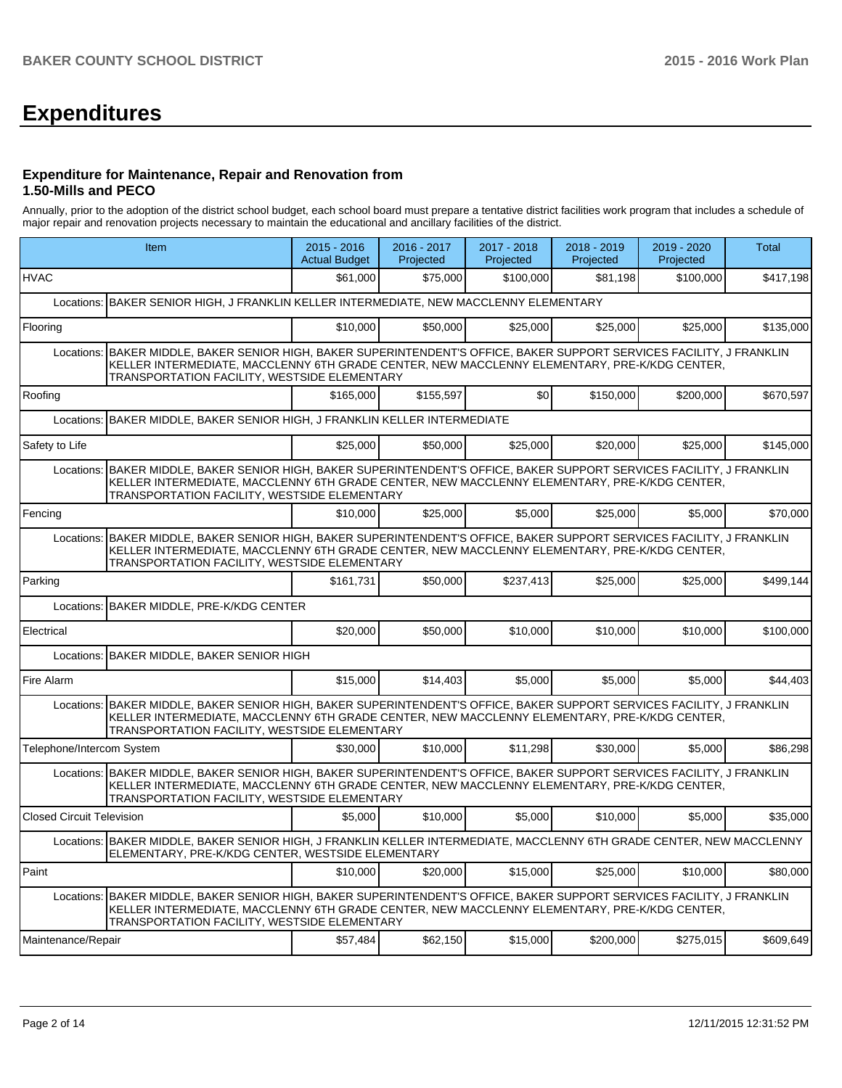# **Expenditures**

#### **Expenditure for Maintenance, Repair and Renovation from 1.50-Mills and PECO**

Annually, prior to the adoption of the district school budget, each school board must prepare a tentative district facilities work program that includes a schedule of major repair and renovation projects necessary to maintain the educational and ancillary facilities of the district.

|                                  | Item                                                                                                                                                                                                                                                                   | $2015 - 2016$<br><b>Actual Budget</b> | 2016 - 2017<br>Projected | 2017 - 2018<br>Projected | 2018 - 2019<br>Projected | 2019 - 2020<br>Projected | <b>Total</b> |  |  |  |
|----------------------------------|------------------------------------------------------------------------------------------------------------------------------------------------------------------------------------------------------------------------------------------------------------------------|---------------------------------------|--------------------------|--------------------------|--------------------------|--------------------------|--------------|--|--|--|
| <b>HVAC</b>                      |                                                                                                                                                                                                                                                                        | \$61,000                              | \$75,000                 | \$100,000                | \$81,198                 | \$100,000                | \$417,198    |  |  |  |
|                                  | Locations: BAKER SENIOR HIGH, J FRANKLIN KELLER INTERMEDIATE, NEW MACCLENNY ELEMENTARY                                                                                                                                                                                 |                                       |                          |                          |                          |                          |              |  |  |  |
| Flooring                         |                                                                                                                                                                                                                                                                        | \$10,000                              | \$50,000                 | \$25,000                 | \$25,000                 | \$25,000                 | \$135,000    |  |  |  |
|                                  | Locations: BAKER MIDDLE, BAKER SENIOR HIGH, BAKER SUPERINTENDENT'S OFFICE, BAKER SUPPORT SERVICES FACILITY, J FRANKLIN<br>KELLER INTERMEDIATE, MACCLENNY 6TH GRADE CENTER, NEW MACCLENNY ELEMENTARY, PRE-K/KDG CENTER,<br>TRANSPORTATION FACILITY, WESTSIDE ELEMENTARY |                                       |                          |                          |                          |                          |              |  |  |  |
| Roofing                          |                                                                                                                                                                                                                                                                        | \$165,000                             | \$155,597                | \$0                      | \$150,000                | \$200,000                | \$670,597    |  |  |  |
| Locations:                       | BAKER MIDDLE, BAKER SENIOR HIGH, J FRANKLIN KELLER INTERMEDIATE                                                                                                                                                                                                        |                                       |                          |                          |                          |                          |              |  |  |  |
| Safety to Life                   |                                                                                                                                                                                                                                                                        | \$25,000                              | \$50,000                 | \$25,000                 | \$20,000                 | \$25,000                 | \$145.000    |  |  |  |
|                                  | Locations: BAKER MIDDLE, BAKER SENIOR HIGH, BAKER SUPERINTENDENT'S OFFICE, BAKER SUPPORT SERVICES FACILITY, J FRANKLIN<br>KELLER INTERMEDIATE, MACCLENNY 6TH GRADE CENTER, NEW MACCLENNY ELEMENTARY, PRE-K/KDG CENTER,<br>TRANSPORTATION FACILITY, WESTSIDE ELEMENTARY |                                       |                          |                          |                          |                          |              |  |  |  |
| Fencing                          |                                                                                                                                                                                                                                                                        | \$10,000                              | \$25,000                 | \$5.000                  | \$25,000                 | \$5,000                  | \$70,000     |  |  |  |
| Locations:                       | BAKER MIDDLE, BAKER SENIOR HIGH, BAKER SUPERINTENDENT'S OFFICE, BAKER SUPPORT SERVICES FACILITY, J FRANKLIN<br>KELLER INTERMEDIATE, MACCLENNY 6TH GRADE CENTER, NEW MACCLENNY ELEMENTARY, PRE-K/KDG CENTER,<br>TRANSPORTATION FACILITY, WESTSIDE ELEMENTARY            |                                       |                          |                          |                          |                          |              |  |  |  |
| Parking                          |                                                                                                                                                                                                                                                                        | \$161,731                             | \$50,000                 | \$237,413                | \$25,000                 | \$25,000                 | \$499,144    |  |  |  |
| Locations:                       | BAKER MIDDLE, PRE-K/KDG CENTER                                                                                                                                                                                                                                         |                                       |                          |                          |                          |                          |              |  |  |  |
| Electrical                       |                                                                                                                                                                                                                                                                        | \$20,000                              | \$50,000                 | \$10,000                 | \$10,000                 | \$10,000                 | \$100,000    |  |  |  |
| Locations:                       | <b>BAKER MIDDLE, BAKER SENIOR HIGH</b>                                                                                                                                                                                                                                 |                                       |                          |                          |                          |                          |              |  |  |  |
| Fire Alarm                       |                                                                                                                                                                                                                                                                        | \$15,000                              | \$14,403                 | \$5,000                  | \$5.000                  | \$5,000                  | \$44,403     |  |  |  |
|                                  | Locations: BAKER MIDDLE, BAKER SENIOR HIGH, BAKER SUPERINTENDENT'S OFFICE, BAKER SUPPORT SERVICES FACILITY, J FRANKLIN<br>KELLER INTERMEDIATE, MACCLENNY 6TH GRADE CENTER, NEW MACCLENNY ELEMENTARY, PRE-K/KDG CENTER,<br>TRANSPORTATION FACILITY, WESTSIDE ELEMENTARY |                                       |                          |                          |                          |                          |              |  |  |  |
| Telephone/Intercom System        |                                                                                                                                                                                                                                                                        | \$30,000                              | \$10,000                 | \$11,298                 | \$30,000                 | \$5,000                  | \$86,298     |  |  |  |
|                                  | Locations: BAKER MIDDLE, BAKER SENIOR HIGH, BAKER SUPERINTENDENT'S OFFICE, BAKER SUPPORT SERVICES FACILITY, J FRANKLIN<br>KELLER INTERMEDIATE, MACCLENNY 6TH GRADE CENTER, NEW MACCLENNY ELEMENTARY, PRE-K/KDG CENTER,<br>TRANSPORTATION FACILITY, WESTSIDE ELEMENTARY |                                       |                          |                          |                          |                          |              |  |  |  |
| <b>Closed Circuit Television</b> |                                                                                                                                                                                                                                                                        | \$5,000                               | \$10,000                 | \$5,000                  | \$10,000                 | \$5,000                  | \$35,000     |  |  |  |
|                                  | Locations: BAKER MIDDLE, BAKER SENIOR HIGH, J FRANKLIN KELLER INTERMEDIATE, MACCLENNY 6TH GRADE CENTER, NEW MACCLENNY<br>ELEMENTARY, PRE-K/KDG CENTER, WESTSIDE ELEMENTARY                                                                                             |                                       |                          |                          |                          |                          |              |  |  |  |
| Paint                            |                                                                                                                                                                                                                                                                        | \$10,000                              | \$20,000                 | \$15,000                 | \$25,000                 | \$10,000                 | \$80,000     |  |  |  |
| Locations:                       | BAKER MIDDLE, BAKER SENIOR HIGH, BAKER SUPERINTENDENT'S OFFICE, BAKER SUPPORT SERVICES FACILITY, J FRANKLIN<br>KELLER INTERMEDIATE, MACCLENNY 6TH GRADE CENTER, NEW MACCLENNY ELEMENTARY, PRE-K/KDG CENTER,<br>TRANSPORTATION FACILITY, WESTSIDE ELEMENTARY            |                                       |                          |                          |                          |                          |              |  |  |  |
| Maintenance/Repair               |                                                                                                                                                                                                                                                                        | \$57,484                              | \$62,150                 | \$15,000                 | \$200,000                | \$275,015                | \$609,649    |  |  |  |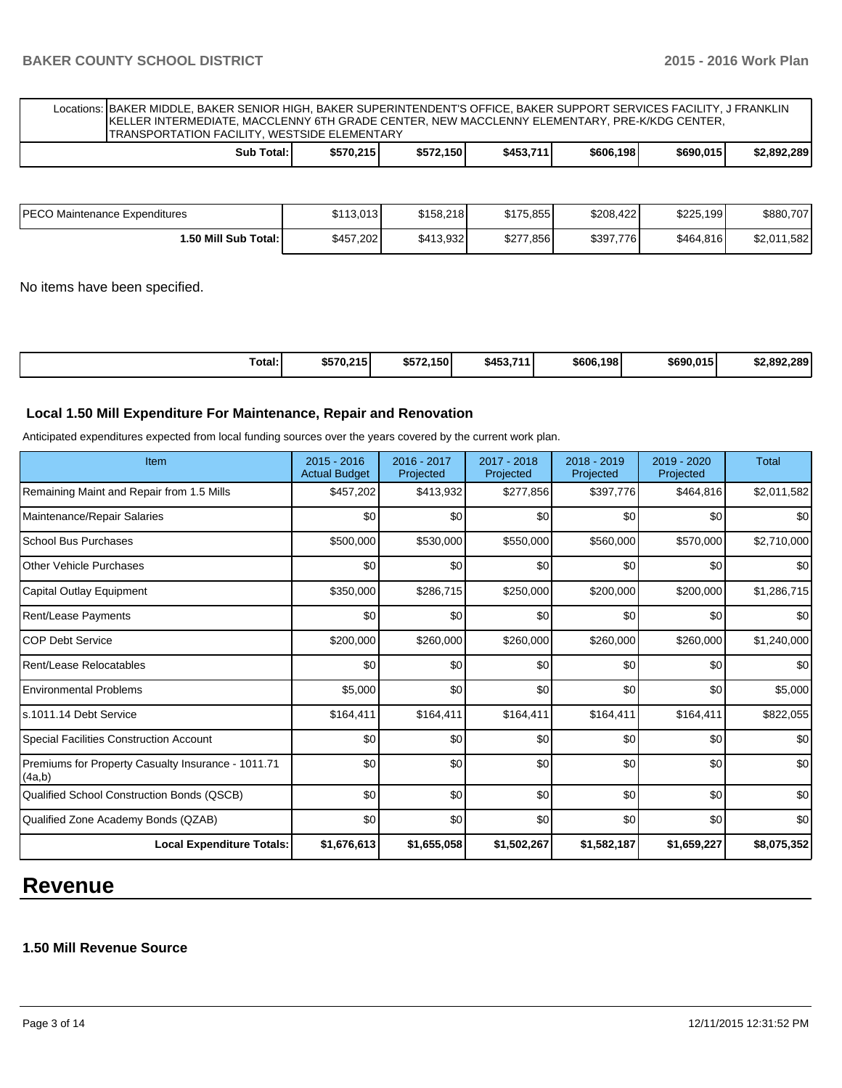Locations: BAKER MIDDLE, BAKER SENIOR HIGH, BAKER SUPERINTENDENT'S OFFICE, BAKER SUPPORT SERVICES FACILITY, J FRANKLIN KELLER INTERMEDIATE, MACCLENNY 6TH GRADE CENTER, NEW MACCLENNY ELEMENTARY, PRE-K/KDG CENTER, TRANSPORTATION FACILITY, WESTSIDE ELEMENTARY

| Total:<br>Sub | \$570.215 | \$572.150 | \$453,711 | \$606,198 | \$690,015 | \$2,892,289 |
|---------------|-----------|-----------|-----------|-----------|-----------|-------------|
|               |           |           |           |           |           |             |

| IPECO Maintenance Expenditures | \$113.013 | \$158.218 | \$175.855 | \$208,422 | \$225.199 | \$880,707        |
|--------------------------------|-----------|-----------|-----------|-----------|-----------|------------------|
| ا :50 Mill Sub Total.          | \$457.202 | \$413,932 | \$277,856 | \$397,776 | \$464,816 | 1,582<br>\$2,011 |

No items have been specified.

|  | Total:<br>. | \$570,215 | \$572.150 | \$453,711 | \$606,198 | \$690.015 | \$2.892.289 |
|--|-------------|-----------|-----------|-----------|-----------|-----------|-------------|
|--|-------------|-----------|-----------|-----------|-----------|-----------|-------------|

### **Local 1.50 Mill Expenditure For Maintenance, Repair and Renovation**

Anticipated expenditures expected from local funding sources over the years covered by the current work plan.

| Item                                                         | 2015 - 2016<br><b>Actual Budget</b> | 2016 - 2017<br>Projected | 2017 - 2018<br>Projected | 2018 - 2019<br>Projected | 2019 - 2020<br>Projected | <b>Total</b> |
|--------------------------------------------------------------|-------------------------------------|--------------------------|--------------------------|--------------------------|--------------------------|--------------|
| Remaining Maint and Repair from 1.5 Mills                    | \$457,202                           | \$413,932                | \$277,856                | \$397,776                | \$464,816                | \$2,011,582  |
| Maintenance/Repair Salaries                                  | \$0                                 | \$0                      | \$0                      | \$0                      | \$0                      | \$0          |
| School Bus Purchases                                         | \$500,000                           | \$530,000                | \$550,000                | \$560,000                | \$570,000                | \$2,710,000  |
| <b>Other Vehicle Purchases</b>                               | \$0                                 | \$0                      | \$0                      | \$0                      | \$0                      | \$0          |
| Capital Outlay Equipment                                     | \$350,000                           | \$286,715                | \$250,000                | \$200,000                | \$200,000                | \$1,286,715  |
| Rent/Lease Payments                                          | \$0                                 | \$0                      | \$0                      | \$0                      | \$0                      | \$0          |
| <b>COP Debt Service</b>                                      | \$200,000                           | \$260,000                | \$260,000                | \$260,000                | \$260,000                | \$1,240,000  |
| Rent/Lease Relocatables                                      | \$0                                 | \$0                      | \$0                      | \$0                      | \$0                      | \$0          |
| <b>Environmental Problems</b>                                | \$5,000                             | \$0                      | \$0                      | \$0                      | \$0                      | \$5,000      |
| ls.1011.14 Debt Service                                      | \$164,411                           | \$164,411                | \$164,411                | \$164,411                | \$164,411                | \$822,055    |
| <b>Special Facilities Construction Account</b>               | \$0                                 | \$0                      | \$0                      | \$0                      | \$0                      | \$0          |
| Premiums for Property Casualty Insurance - 1011.71<br>(4a,b) | \$0                                 | \$0                      | \$0                      | \$0                      | \$0                      | \$0          |
| Qualified School Construction Bonds (QSCB)                   | \$0                                 | \$0                      | \$0                      | \$0                      | \$0                      | \$0          |
| Qualified Zone Academy Bonds (QZAB)                          | \$0                                 | \$0                      | \$0                      | \$0                      | \$0                      | \$0          |
| <b>Local Expenditure Totals:</b>                             | \$1,676,613                         | \$1,655,058              | \$1,502,267              | \$1,582,187              | \$1,659,227              | \$8,075,352  |

## **Revenue**

## **1.50 Mill Revenue Source**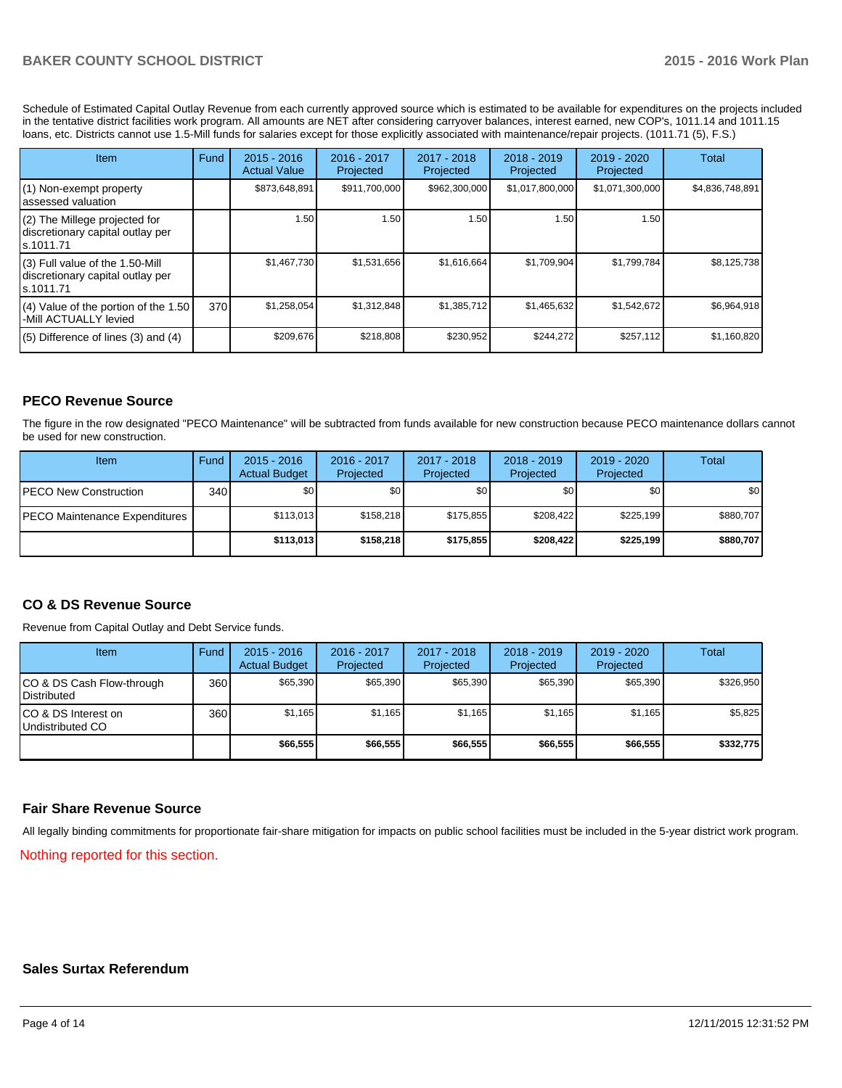Schedule of Estimated Capital Outlay Revenue from each currently approved source which is estimated to be available for expenditures on the projects included in the tentative district facilities work program. All amounts are NET after considering carryover balances, interest earned, new COP's, 1011.14 and 1011.15 loans, etc. Districts cannot use 1.5-Mill funds for salaries except for those explicitly associated with maintenance/repair projects. (1011.71 (5), F.S.)

| <b>Item</b>                                                                         | Fund | $2015 - 2016$<br><b>Actual Value</b> | $2016 - 2017$<br>Projected | $2017 - 2018$<br>Projected | $2018 - 2019$<br>Projected | $2019 - 2020$<br>Projected | <b>Total</b>    |
|-------------------------------------------------------------------------------------|------|--------------------------------------|----------------------------|----------------------------|----------------------------|----------------------------|-----------------|
| (1) Non-exempt property<br>lassessed valuation                                      |      | \$873,648,891                        | \$911,700,000              | \$962,300,000              | \$1,017,800,000            | \$1,071,300,000            | \$4,836,748,891 |
| $(2)$ The Millege projected for<br>discretionary capital outlay per<br>ls.1011.71   |      | 1.50                                 | 1.50 I                     | 1.50                       | 1.50                       | 1.50                       |                 |
| $(3)$ Full value of the 1.50-Mill<br>discretionary capital outlay per<br>ls.1011.71 |      | \$1,467,730                          | \$1,531,656                | \$1,616,664                | \$1,709,904                | \$1,799,784                | \$8,125,738     |
| (4) Value of the portion of the 1.50<br>I-Mill ACTUALLY levied                      | 370  | \$1,258,054                          | \$1,312,848                | \$1,385,712                | \$1,465,632                | \$1,542,672                | \$6,964,918     |
| $(5)$ Difference of lines $(3)$ and $(4)$                                           |      | \$209,676                            | \$218,808                  | \$230,952                  | \$244,272                  | \$257,112                  | \$1,160,820     |

## **PECO Revenue Source**

The figure in the row designated "PECO Maintenance" will be subtracted from funds available for new construction because PECO maintenance dollars cannot be used for new construction.

| Item                                 | Fund | $2015 - 2016$<br><b>Actual Budget</b> | 2016 - 2017<br>Projected | 2017 - 2018<br>Projected | $2018 - 2019$<br>Projected | $2019 - 2020$<br>Projected | Total            |
|--------------------------------------|------|---------------------------------------|--------------------------|--------------------------|----------------------------|----------------------------|------------------|
| <b>IPECO New Construction</b>        | 340  | \$0                                   | \$0                      | \$0                      | \$0 I                      | \$0                        | \$0 <sub>1</sub> |
| <b>PECO Maintenance Expenditures</b> |      | \$113.013                             | \$158.218                | \$175.855                | \$208.422                  | \$225.199                  | \$880.707        |
|                                      |      | \$113,013                             | \$158,218                | \$175,855                | \$208,422                  | \$225.199                  | \$880,707        |

### **CO & DS Revenue Source**

Revenue from Capital Outlay and Debt Service funds.

| <b>Item</b>                                      | Fund | $2015 - 2016$<br><b>Actual Budget</b> | 2016 - 2017<br>Projected | 2017 - 2018<br>Projected | 2018 - 2019<br>Projected | $2019 - 2020$<br>Projected | Total     |
|--------------------------------------------------|------|---------------------------------------|--------------------------|--------------------------|--------------------------|----------------------------|-----------|
| ICO & DS Cash Flow-through<br><b>Distributed</b> | 360  | \$65.390                              | \$65,390                 | \$65,390                 | \$65,390                 | \$65,390                   | \$326,950 |
| ICO & DS Interest on<br>Undistributed CO         | 360  | \$1,165                               | \$1,165                  | \$1,165                  | \$1.165                  | \$1,165                    | \$5,825   |
|                                                  |      | \$66,555                              | \$66,555                 | \$66,555                 | \$66,555                 | \$66,555                   | \$332,775 |

### **Fair Share Revenue Source**

All legally binding commitments for proportionate fair-share mitigation for impacts on public school facilities must be included in the 5-year district work program.

Nothing reported for this section.

#### **Sales Surtax Referendum**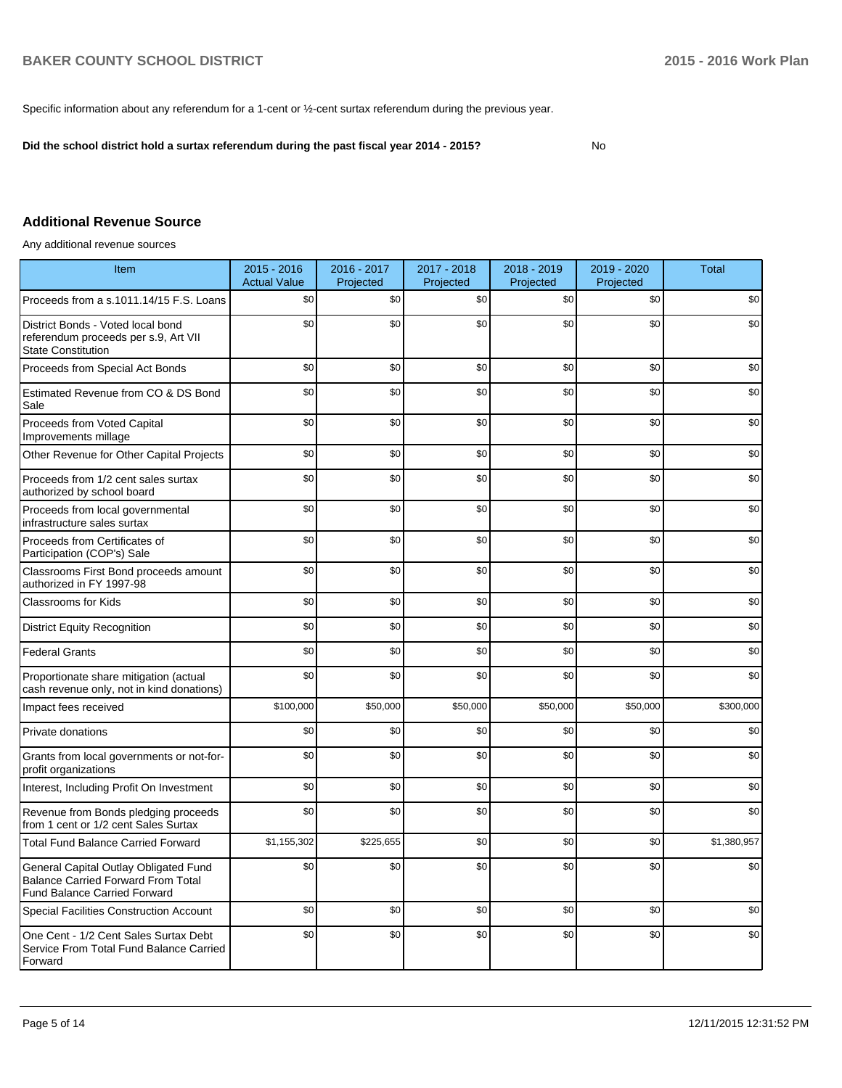Specific information about any referendum for a 1-cent or ½-cent surtax referendum during the previous year.

**Did the school district hold a surtax referendum during the past fiscal year 2014 - 2015?**

No

## **Additional Revenue Source**

Any additional revenue sources

| Item                                                                                                                      | $2015 - 2016$<br><b>Actual Value</b> | 2016 - 2017<br>Projected | 2017 - 2018<br>Projected | 2018 - 2019<br>Projected | 2019 - 2020<br>Projected | <b>Total</b> |
|---------------------------------------------------------------------------------------------------------------------------|--------------------------------------|--------------------------|--------------------------|--------------------------|--------------------------|--------------|
| Proceeds from a s.1011.14/15 F.S. Loans                                                                                   | \$0                                  | \$0                      | \$0                      | \$0                      | \$0                      | \$0          |
| District Bonds - Voted local bond<br>referendum proceeds per s.9, Art VII<br><b>State Constitution</b>                    | \$0                                  | \$0                      | \$0                      | \$0                      | \$0                      | \$0          |
| Proceeds from Special Act Bonds                                                                                           | \$0                                  | \$0                      | \$0                      | \$0                      | \$0                      | \$0          |
| Estimated Revenue from CO & DS Bond<br>Sale                                                                               | \$0                                  | \$0                      | \$0                      | \$0                      | \$0                      | \$0          |
| Proceeds from Voted Capital<br>Improvements millage                                                                       | \$0                                  | \$0                      | \$0                      | \$0                      | \$0                      | \$0          |
| Other Revenue for Other Capital Projects                                                                                  | \$0                                  | \$0                      | \$0                      | \$0                      | \$0                      | \$0          |
| Proceeds from 1/2 cent sales surtax<br>authorized by school board                                                         | \$0                                  | \$0                      | \$0                      | \$0                      | \$0                      | \$0          |
| Proceeds from local governmental<br>infrastructure sales surtax                                                           | \$0                                  | \$0                      | \$0                      | \$0                      | \$0                      | \$0          |
| Proceeds from Certificates of<br>Participation (COP's) Sale                                                               | \$0                                  | \$0                      | \$0                      | \$0                      | \$0                      | \$0          |
| Classrooms First Bond proceeds amount<br>authorized in FY 1997-98                                                         | \$0                                  | \$0                      | \$0                      | \$0                      | \$0                      | \$0          |
| <b>Classrooms for Kids</b>                                                                                                | \$0                                  | \$0                      | \$0                      | \$0                      | \$0                      | \$0          |
| <b>District Equity Recognition</b>                                                                                        | \$0                                  | \$0                      | \$0                      | \$0                      | \$0                      | \$0          |
| <b>Federal Grants</b>                                                                                                     | \$0                                  | \$0                      | \$0                      | \$0                      | \$0                      | \$0          |
| Proportionate share mitigation (actual<br>cash revenue only, not in kind donations)                                       | \$0                                  | \$0                      | \$0                      | \$0                      | \$0                      | \$0          |
| Impact fees received                                                                                                      | \$100,000                            | \$50,000                 | \$50,000                 | \$50,000                 | \$50,000                 | \$300,000    |
| Private donations                                                                                                         | \$0                                  | \$0                      | \$0                      | \$0                      | \$0                      | \$0          |
| Grants from local governments or not-for-<br>profit organizations                                                         | \$0                                  | \$0                      | \$0                      | \$0                      | \$0                      | \$0          |
| Interest, Including Profit On Investment                                                                                  | \$0                                  | \$0                      | \$0                      | \$0                      | \$0                      | \$0          |
| Revenue from Bonds pledging proceeds<br>from 1 cent or 1/2 cent Sales Surtax                                              | \$0                                  | \$0                      | \$0                      | \$0                      | \$0                      | \$0          |
| <b>Total Fund Balance Carried Forward</b>                                                                                 | \$1,155,302                          | \$225,655                | \$0                      | \$0                      | \$0                      | \$1,380,957  |
| General Capital Outlay Obligated Fund<br><b>Balance Carried Forward From Total</b><br><b>Fund Balance Carried Forward</b> | \$0                                  | \$0                      | \$0                      | \$0                      | \$0                      | \$0          |
| <b>Special Facilities Construction Account</b>                                                                            | \$0                                  | \$0                      | \$0                      | \$0                      | \$0                      | \$0          |
| One Cent - 1/2 Cent Sales Surtax Debt<br>Service From Total Fund Balance Carried<br>Forward                               | \$0                                  | \$0                      | \$0                      | \$0                      | \$0                      | \$0          |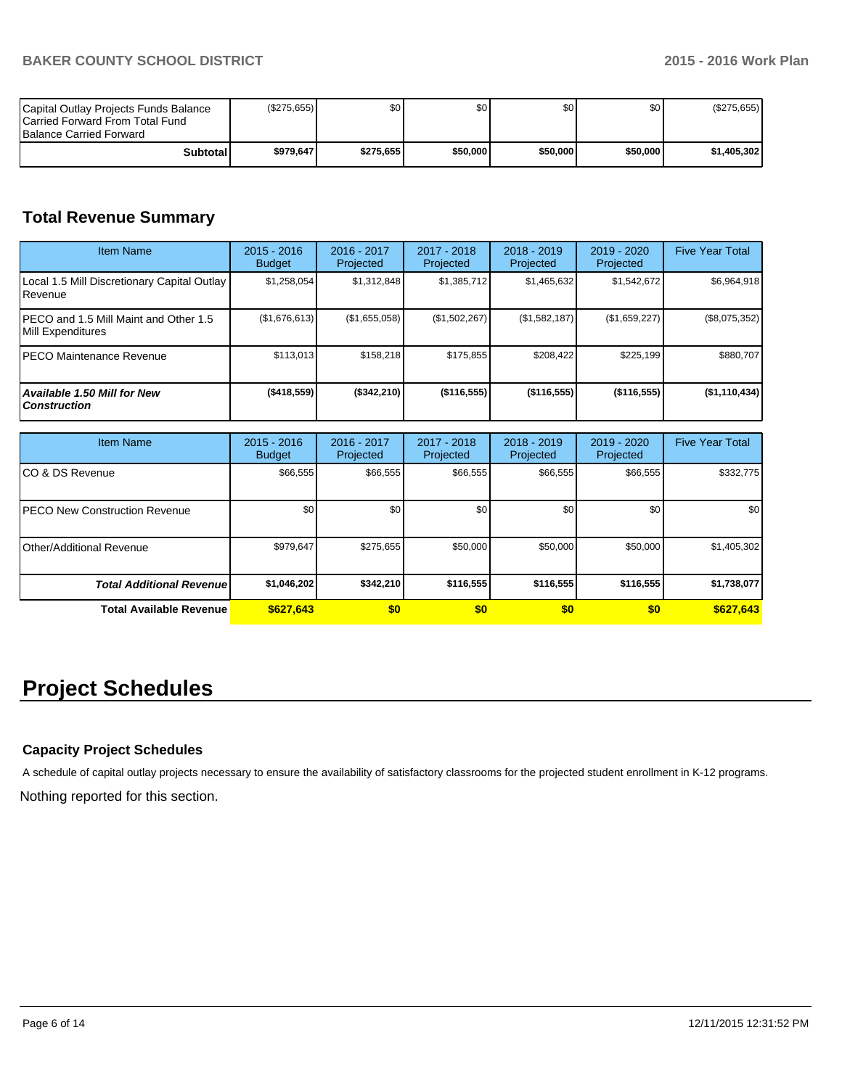| Capital Outlay Projects Funds Balance<br><b>ICarried Forward From Total Fund</b><br><b>Balance Carried Forward</b> | (S275.655) | \$0       | \$0      | \$0 I    | \$0      | (\$275,655) |
|--------------------------------------------------------------------------------------------------------------------|------------|-----------|----------|----------|----------|-------------|
| Subtotall                                                                                                          | \$979.647  | \$275,655 | \$50,000 | \$50,000 | \$50,000 | \$1,405,302 |

## **Total Revenue Summary**

| <b>Item Name</b>                                           | $2015 - 2016$<br><b>Budget</b> | 2016 - 2017<br>Projected | 2017 - 2018<br>Projected | $2018 - 2019$<br>Projected | $2019 - 2020$<br>Projected | <b>Five Year Total</b> |
|------------------------------------------------------------|--------------------------------|--------------------------|--------------------------|----------------------------|----------------------------|------------------------|
| Local 1.5 Mill Discretionary Capital Outlay<br>l Revenue   | \$1,258,054                    | \$1,312,848              | \$1,385,712              | \$1,465,632                | \$1,542,672                | \$6,964,918            |
| PECO and 1.5 Mill Maint and Other 1.5<br>Mill Expenditures | (\$1,676,613)                  | (\$1,655,058)            | (\$1,502,267)            | (\$1,582,187)              | (\$1,659,227)              | $(\$8,075,352)$        |
| PECO Maintenance Revenue                                   | \$113,013                      | \$158.218                | \$175.855                | \$208.422                  | \$225,199                  | \$880.707              |
| <b>Available 1.50 Mill for New</b><br><b>Construction</b>  | $($ \$418,559)                 | (\$342,210)              | $($ \$116,555)           | $($ \$116,555)             | $($ \$116,555)             | (\$1,110,434)          |

| <b>Item Name</b>                      | $2015 - 2016$<br><b>Budget</b> | 2016 - 2017<br>Projected | 2017 - 2018<br>Projected | $2018 - 2019$<br>Projected | 2019 - 2020<br>Projected | <b>Five Year Total</b> |
|---------------------------------------|--------------------------------|--------------------------|--------------------------|----------------------------|--------------------------|------------------------|
| ICO & DS Revenue                      | \$66,555                       | \$66,555                 | \$66,555                 | \$66,555                   | \$66,555                 | \$332,775              |
| <b>IPECO New Construction Revenue</b> | \$0                            | \$0                      | \$0                      | \$0                        | \$0 <sub>1</sub>         | \$0 <sub>1</sub>       |
| Other/Additional Revenue              | \$979,647                      | \$275,655                | \$50,000                 | \$50,000                   | \$50,000                 | \$1,405,302            |
| <b>Total Additional Revenuel</b>      | \$1,046,202                    | \$342,210                | \$116,555                | \$116,555                  | \$116,555                | \$1,738,077            |
| Total Available Revenue               | \$627,643                      | \$0                      | \$0                      | \$0                        | \$0                      | \$627,643              |

# **Project Schedules**

## **Capacity Project Schedules**

A schedule of capital outlay projects necessary to ensure the availability of satisfactory classrooms for the projected student enrollment in K-12 programs.

Nothing reported for this section.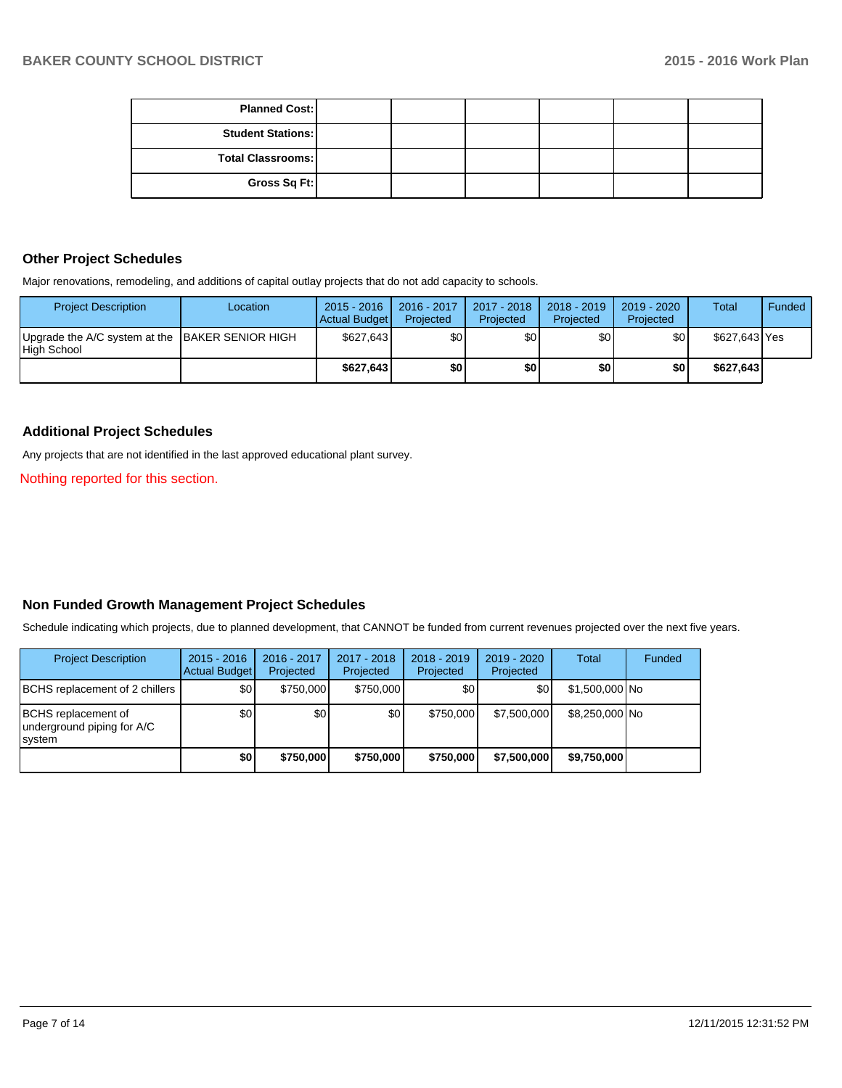| <b>Planned Cost:</b>     |  |  |  |
|--------------------------|--|--|--|
| <b>Student Stations:</b> |  |  |  |
| <b>Total Classrooms:</b> |  |  |  |
| Gross Sq Ft:             |  |  |  |

## **Other Project Schedules**

Major renovations, remodeling, and additions of capital outlay projects that do not add capacity to schools.

| <b>Project Description</b>                                     | Location | $2015 - 2016$<br>Actual Budget | $2016 - 2017$<br>Projected | 2017 - 2018<br>Projected | $2018 - 2019$<br>Projected | 2019 - 2020<br>Projected | <b>Total</b>  | Funded |
|----------------------------------------------------------------|----------|--------------------------------|----------------------------|--------------------------|----------------------------|--------------------------|---------------|--------|
| Upgrade the A/C system at the BAKER SENIOR HIGH<br>High School |          | \$627.643                      | \$01                       | ا30                      | \$0 I                      | \$0                      | \$627,643 Yes |        |
|                                                                |          | \$627.643                      | ا80                        | \$0                      | \$O I                      | \$0                      | \$627,643     |        |

#### **Additional Project Schedules**

Any projects that are not identified in the last approved educational plant survey.

Nothing reported for this section.

## **Non Funded Growth Management Project Schedules**

Schedule indicating which projects, due to planned development, that CANNOT be funded from current revenues projected over the next five years.

| <b>Project Description</b>                                          | $2015 - 2016$<br><b>Actual Budget</b> | 2016 - 2017<br>Projected | 2017 - 2018<br>Projected | $2018 - 2019$<br>Projected | $2019 - 2020$<br>Projected | Total           | Funded |
|---------------------------------------------------------------------|---------------------------------------|--------------------------|--------------------------|----------------------------|----------------------------|-----------------|--------|
| <b>BCHS</b> replacement of 2 chillers                               | \$0                                   | \$750,000                | \$750,000                | \$0 <sub>0</sub>           | \$0 <sub>1</sub>           | $$1,500,000$ No |        |
| <b>BCHS</b> replacement of<br>underground piping for A/C<br>Isystem | \$0                                   | \$0                      | \$0                      | \$750,000                  | \$7,500,000                | \$8,250,000 No  |        |
|                                                                     | \$0                                   | \$750,000                | \$750,000                | \$750,000                  | \$7,500,000                | \$9.750,000     |        |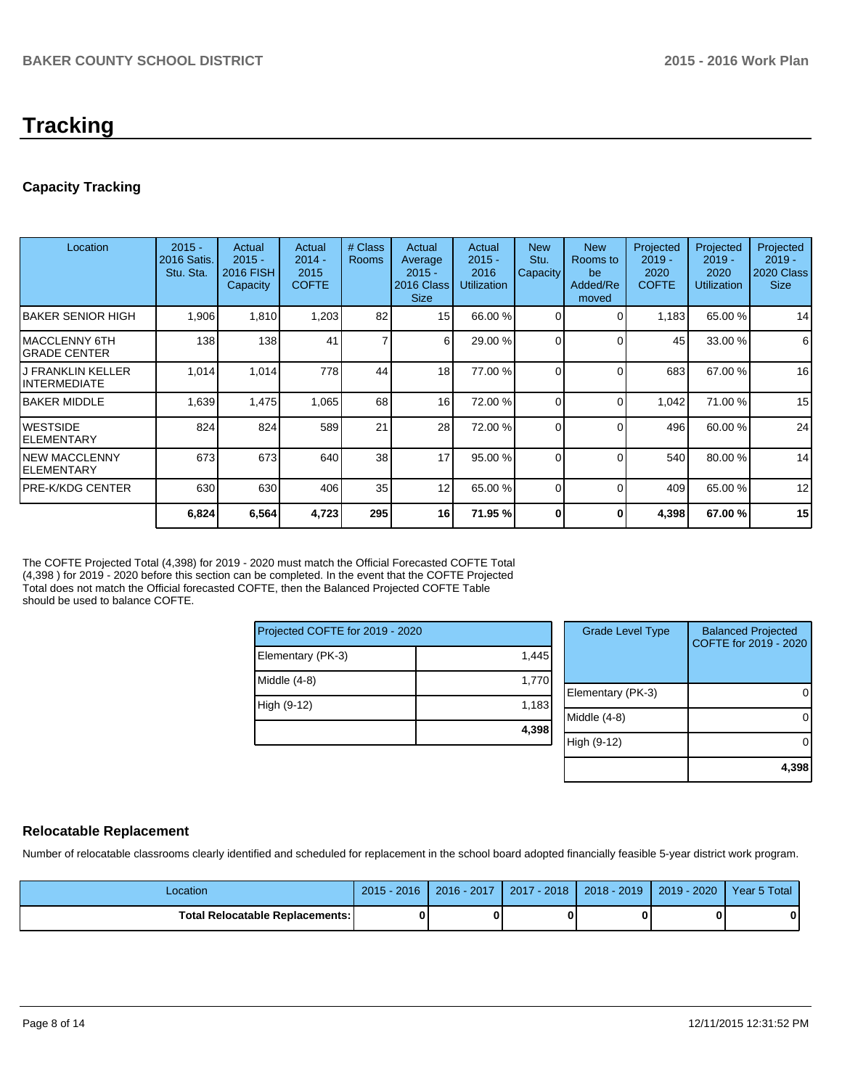# **Tracking**

## **Capacity Tracking**

| Location                                 | $2015 -$<br>2016 Satis.<br>Stu. Sta. | Actual<br>$2015 -$<br><b>2016 FISH</b><br>Capacity | Actual<br>$2014 -$<br>2015<br><b>COFTE</b> | # Class<br><b>Rooms</b> | Actual<br>Average<br>$2015 -$<br>2016 Class<br><b>Size</b> | Actual<br>$2015 -$<br>2016<br><b>Utilization</b> | <b>New</b><br>Stu.<br>Capacity | <b>New</b><br>Rooms to<br>be<br>Added/Re<br>moved | Projected<br>$2019 -$<br>2020<br><b>COFTE</b> | Projected<br>$2019 -$<br>2020<br><b>Utilization</b> | Projected<br>$2019 -$<br><b>2020 Class</b><br><b>Size</b> |
|------------------------------------------|--------------------------------------|----------------------------------------------------|--------------------------------------------|-------------------------|------------------------------------------------------------|--------------------------------------------------|--------------------------------|---------------------------------------------------|-----------------------------------------------|-----------------------------------------------------|-----------------------------------------------------------|
| <b>BAKER SENIOR HIGH</b>                 | 1,906                                | 1,810                                              | 1,203                                      | 82                      | 15                                                         | 66.00 %                                          | $\Omega$                       |                                                   | 1,183                                         | 65.00 %                                             | 14                                                        |
| IMACCLENNY 6TH<br>IGRADE CENTER          | 138                                  | 138                                                | 41                                         | 7                       | 6 <sup>1</sup>                                             | 29.00 %                                          | $\Omega$                       | $\Omega$                                          | 45                                            | 33.00 %                                             | 6                                                         |
| <b>J FRANKLIN KELLER</b><br>INTERMEDIATE | 1,014                                | 1,014                                              | 778                                        | 44                      | 18                                                         | 77.00 %                                          | $\Omega$                       |                                                   | 683                                           | 67.00 %                                             | 16                                                        |
| <b>IBAKER MIDDLE</b>                     | 1,639                                | 1,475                                              | 1,065                                      | 68                      | 16                                                         | 72.00 %                                          | $\Omega$                       | C                                                 | 1,042                                         | 71.00 %                                             | 15                                                        |
| IWESTSIDE<br><b>ELEMENTARY</b>           | 824                                  | 824                                                | 589                                        | 21                      | 28                                                         | 72.00 %                                          | $\Omega$                       | $\Omega$                                          | 496                                           | 60.00 %                                             | 24                                                        |
| <b>INEW MACCLENNY</b><br>IELEMENTARY     | 673                                  | 673                                                | 640                                        | 38                      | 17                                                         | 95.00 %                                          | $\Omega$                       |                                                   | 540                                           | 80.00 %                                             | 14                                                        |
| PRE-K/KDG CENTER                         | 630                                  | 630                                                | 406                                        | 35                      | 12                                                         | 65.00 %                                          | $\Omega$                       | C                                                 | 409                                           | 65.00 %                                             | 12                                                        |
|                                          | 6,824                                | 6,564                                              | 4,723                                      | 295                     | 16                                                         | 71.95 %                                          |                                | 0                                                 | 4,398                                         | 67.00 %                                             | 15                                                        |

The COFTE Projected Total (4,398) for 2019 - 2020 must match the Official Forecasted COFTE Total (4,398 ) for 2019 - 2020 before this section can be completed. In the event that the COFTE Projected Total does not match the Official forecasted COFTE, then the Balanced Projected COFTE Table should be used to balance COFTE.

| Projected COFTE for 2019 - 2020 |       |  |  |  |  |
|---------------------------------|-------|--|--|--|--|
| Elementary (PK-3)               | 1,445 |  |  |  |  |
| Middle (4-8)                    | 1,770 |  |  |  |  |
| High (9-12)                     | 1,183 |  |  |  |  |
|                                 | 4,398 |  |  |  |  |

| <b>Grade Level Type</b> | <b>Balanced Projected</b><br>COFTE for 2019 - 2020 |
|-------------------------|----------------------------------------------------|
| Elementary (PK-3)       |                                                    |
| Middle (4-8)            |                                                    |
| High (9-12)             |                                                    |
|                         | 4,398                                              |

## **Relocatable Replacement**

Number of relocatable classrooms clearly identified and scheduled for replacement in the school board adopted financially feasible 5-year district work program.

| Location                                 | $2015 - 2016$ | 2016 - 2017 | $2017 - 2018$ | 2018 - 2019 1 | 2019 - 2020 Year 5 Total |  |
|------------------------------------------|---------------|-------------|---------------|---------------|--------------------------|--|
| <b>Total Relocatable Replacements: I</b> | n             |             | ŋ             |               |                          |  |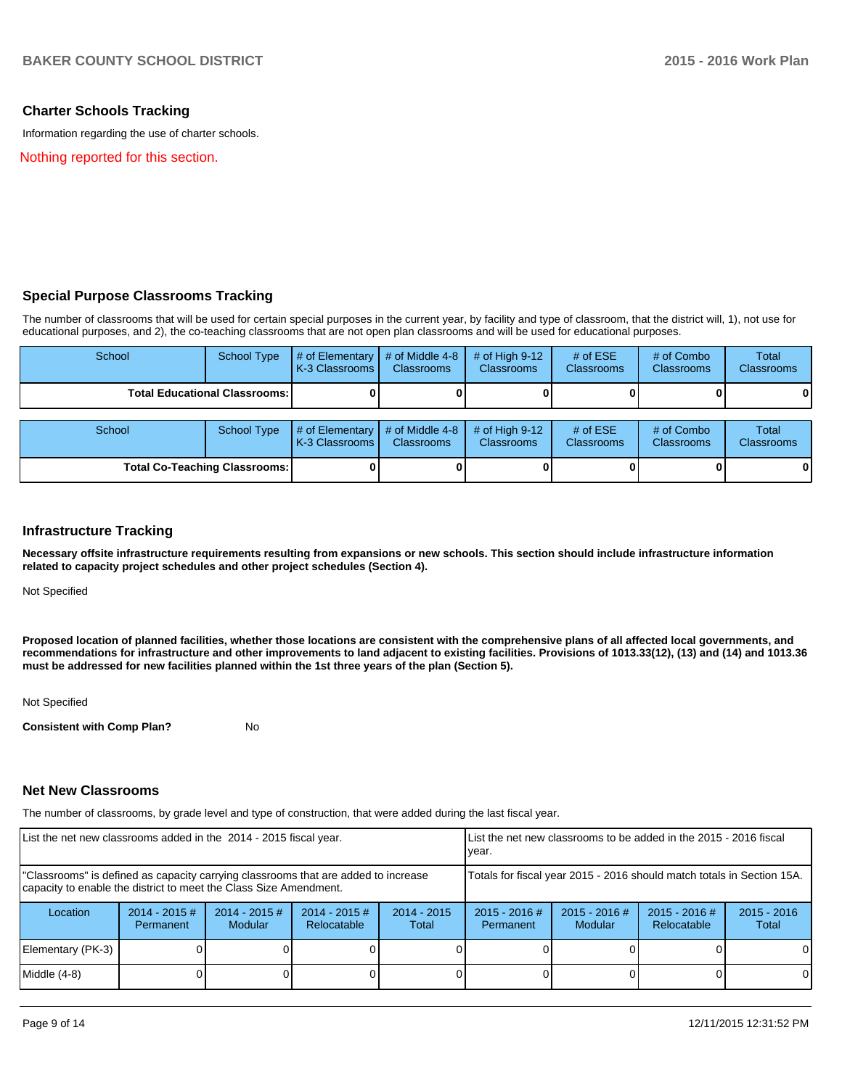## **Charter Schools Tracking**

Information regarding the use of charter schools.

Nothing reported for this section.

### **Special Purpose Classrooms Tracking**

The number of classrooms that will be used for certain special purposes in the current year, by facility and type of classroom, that the district will, 1), not use for educational purposes, and 2), the co-teaching classrooms that are not open plan classrooms and will be used for educational purposes.

| School                                 | <b>School Type</b> | # of Elementary<br>K-3 Classrooms        | # of Middle 4-8<br><b>Classrooms</b> | # of High $9-12$<br><b>Classrooms</b> | # of $ESE$<br><b>Classrooms</b> | # of Combo<br><b>Classrooms</b> | <b>Total</b><br><b>Classrooms</b> |
|----------------------------------------|--------------------|------------------------------------------|--------------------------------------|---------------------------------------|---------------------------------|---------------------------------|-----------------------------------|
| <b>Total Educational Classrooms: I</b> |                    |                                          |                                      |                                       |                                 |                                 | $\mathbf{0}$                      |
| School                                 | School Type        | # of Elementary<br><b>K-3 Classrooms</b> | # of Middle 4-8<br><b>Classrooms</b> | # of High $9-12$<br><b>Classrooms</b> | # of $ESE$<br><b>Classrooms</b> | # of Combo<br><b>Classrooms</b> | <b>Total</b><br><b>Classrooms</b> |
| <b>Total Co-Teaching Classrooms:</b>   |                    |                                          |                                      |                                       |                                 |                                 | 0                                 |

#### **Infrastructure Tracking**

**Necessary offsite infrastructure requirements resulting from expansions or new schools. This section should include infrastructure information related to capacity project schedules and other project schedules (Section 4).**

Not Specified

**Proposed location of planned facilities, whether those locations are consistent with the comprehensive plans of all affected local governments, and recommendations for infrastructure and other improvements to land adjacent to existing facilities. Provisions of 1013.33(12), (13) and (14) and 1013.36 must be addressed for new facilities planned within the 1st three years of the plan (Section 5).**

Not Specified

**Consistent with Comp Plan?** No

### **Net New Classrooms**

The number of classrooms, by grade level and type of construction, that were added during the last fiscal year.

| List the net new classrooms added in the 2014 - 2015 fiscal year.                                                                                       |                              |                                   |                                |                        | Llist the net new classrooms to be added in the 2015 - 2016 fiscal<br>Ivear. |                                   |                                |                        |  |
|---------------------------------------------------------------------------------------------------------------------------------------------------------|------------------------------|-----------------------------------|--------------------------------|------------------------|------------------------------------------------------------------------------|-----------------------------------|--------------------------------|------------------------|--|
| "Classrooms" is defined as capacity carrying classrooms that are added to increase<br>capacity to enable the district to meet the Class Size Amendment. |                              |                                   |                                |                        | Totals for fiscal year 2015 - 2016 should match totals in Section 15A.       |                                   |                                |                        |  |
| Location                                                                                                                                                | $2014 - 2015$ #<br>Permanent | $2014 - 2015$ #<br><b>Modular</b> | $2014 - 2015$ #<br>Relocatable | $2014 - 2015$<br>Total | $2015 - 2016$ #<br>Permanent                                                 | $2015 - 2016$ #<br><b>Modular</b> | $2015 - 2016$ #<br>Relocatable | $2015 - 2016$<br>Total |  |
| Elementary (PK-3)                                                                                                                                       |                              |                                   |                                |                        |                                                                              |                                   |                                | $\Omega$               |  |
| Middle (4-8)                                                                                                                                            |                              |                                   |                                |                        |                                                                              |                                   |                                | $\Omega$               |  |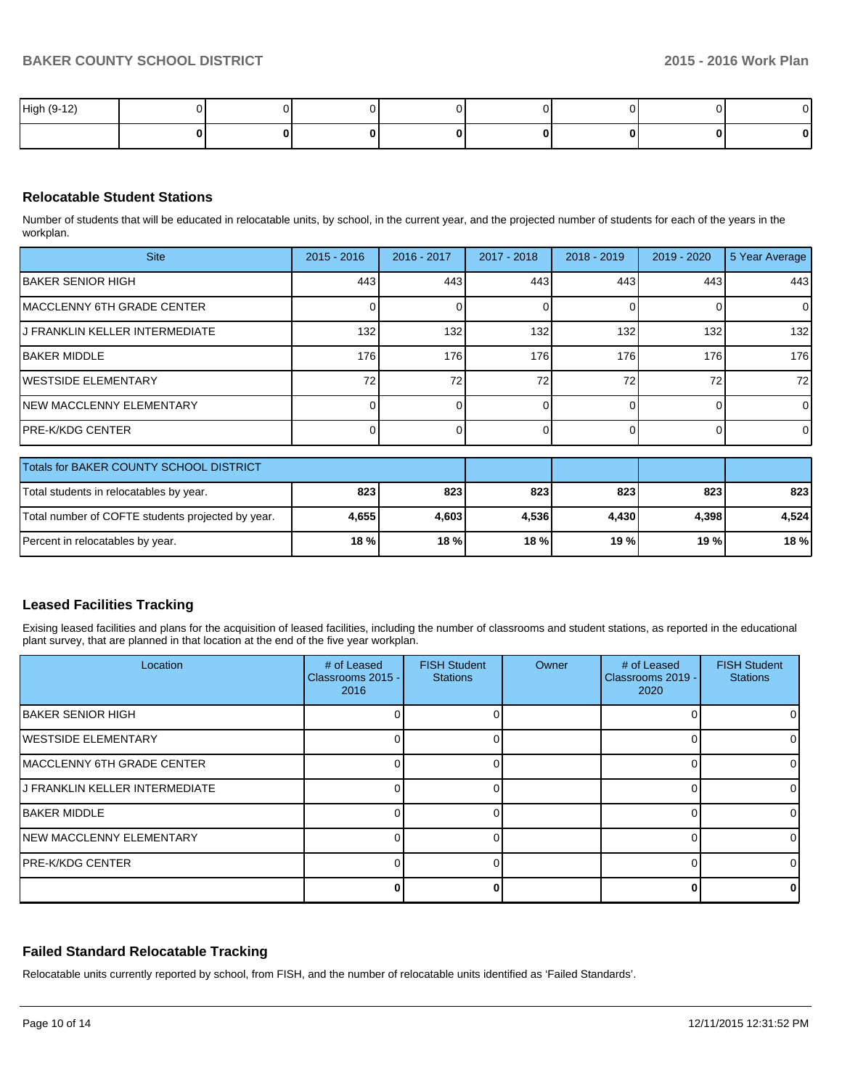| High (9-12) |  |  |  |  |
|-------------|--|--|--|--|
|             |  |  |  |  |

## **Relocatable Student Stations**

Number of students that will be educated in relocatable units, by school, in the current year, and the projected number of students for each of the years in the workplan.

| <b>Site</b>                                       | $2015 - 2016$ | 2016 - 2017 | 2017 - 2018 | 2018 - 2019 | $2019 - 2020$  | 5 Year Average |
|---------------------------------------------------|---------------|-------------|-------------|-------------|----------------|----------------|
| IBAKER SENIOR HIGH                                | 443           | 443         | 443         | 443         | 443            | 443            |
| IMACCLENNY 6TH GRADE CENTER                       |               | o           | 0           | $\Omega$    | $\Omega$       | $\overline{0}$ |
| J FRANKLIN KELLER INTERMEDIATE                    | 132           | 132         | 132         | 132         | 132            | 132            |
| <b>IBAKER MIDDLE</b>                              | 176           | 176         | 176         | 176         | 176            | 176            |
| <b>IWESTSIDE ELEMENTARY</b>                       | 72            | 72          | 72          | 72          | 72             | 72             |
| INEW MACCLENNY ELEMENTARY                         |               |             |             |             | 0              | $\overline{0}$ |
| IPRE-K/KDG CENTER                                 |               |             |             |             | $\overline{0}$ | $\overline{0}$ |
| Totals for BAKER COUNTY SCHOOL DISTRICT           |               |             |             |             |                |                |
| Total students in relocatables by year.           | 823           | 823         | 823         | 823         | 823            | 823            |
| Total number of COFTE students projected by year. | 4,655         | 4,603       | 4,536       | 4,430       | 4,398          | 4,524          |
| Percent in relocatables by year.                  | 18 %          | 18%         | 18 %        | 19 %        | 19 %           | 18 %           |

### **Leased Facilities Tracking**

Exising leased facilities and plans for the acquisition of leased facilities, including the number of classrooms and student stations, as reported in the educational plant survey, that are planned in that location at the end of the five year workplan.

| Location                          | # of Leased<br>Classrooms 2015 -<br>2016 | <b>FISH Student</b><br><b>Stations</b> | Owner | # of Leased<br>Classrooms 2019 -<br>2020 | <b>FISH Student</b><br><b>Stations</b> |
|-----------------------------------|------------------------------------------|----------------------------------------|-------|------------------------------------------|----------------------------------------|
| <b>IBAKER SENIOR HIGH</b>         |                                          |                                        |       |                                          |                                        |
| <b>WESTSIDE ELEMENTARY</b>        |                                          |                                        |       |                                          |                                        |
| <b>MACCLENNY 6TH GRADE CENTER</b> |                                          |                                        |       |                                          |                                        |
| IJ FRANKLIN KELLER INTERMEDIATE   |                                          |                                        |       |                                          |                                        |
| <b>IBAKER MIDDLE</b>              |                                          |                                        |       |                                          |                                        |
| <b>NEW MACCLENNY ELEMENTARY</b>   |                                          |                                        |       |                                          |                                        |
| <b>IPRE-K/KDG CENTER</b>          |                                          |                                        |       |                                          |                                        |
|                                   |                                          |                                        |       |                                          |                                        |

### **Failed Standard Relocatable Tracking**

Relocatable units currently reported by school, from FISH, and the number of relocatable units identified as 'Failed Standards'.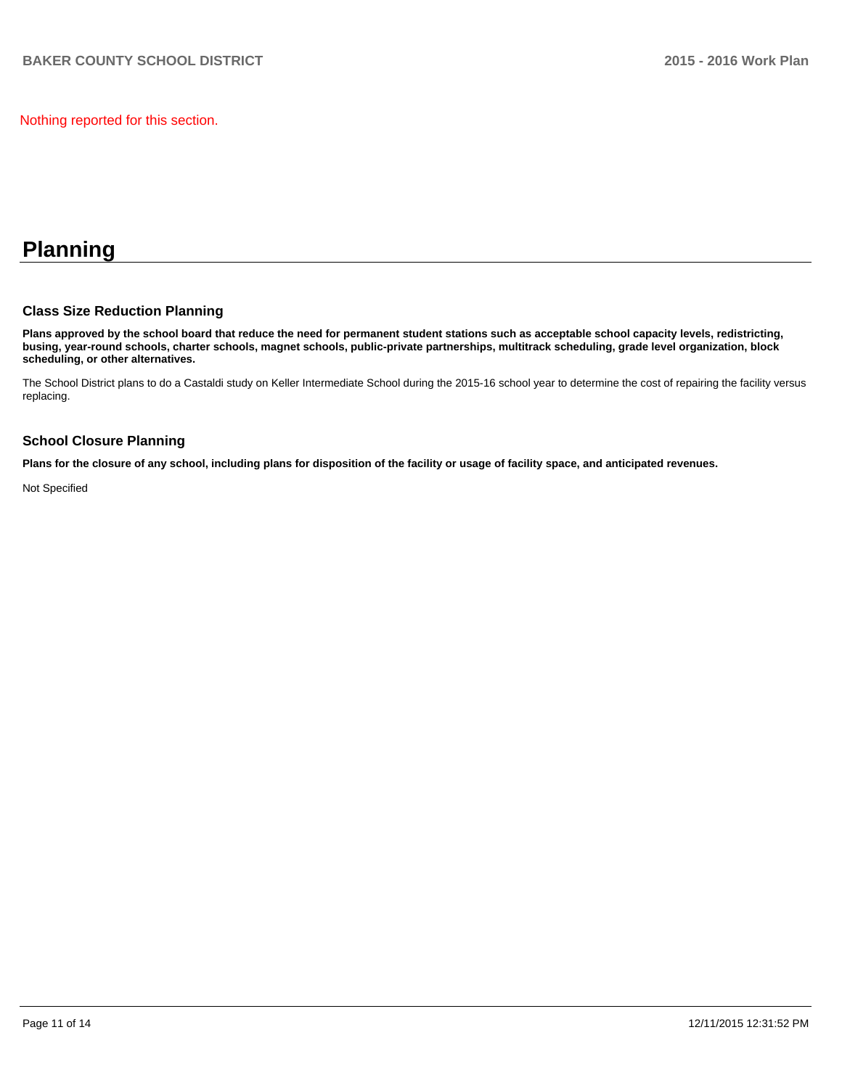Nothing reported for this section.

## **Planning**

## **Class Size Reduction Planning**

**Plans approved by the school board that reduce the need for permanent student stations such as acceptable school capacity levels, redistricting, busing, year-round schools, charter schools, magnet schools, public-private partnerships, multitrack scheduling, grade level organization, block scheduling, or other alternatives.**

The School District plans to do a Castaldi study on Keller Intermediate School during the 2015-16 school year to determine the cost of repairing the facility versus replacing.

## **School Closure Planning**

**Plans for the closure of any school, including plans for disposition of the facility or usage of facility space, and anticipated revenues.**

Not Specified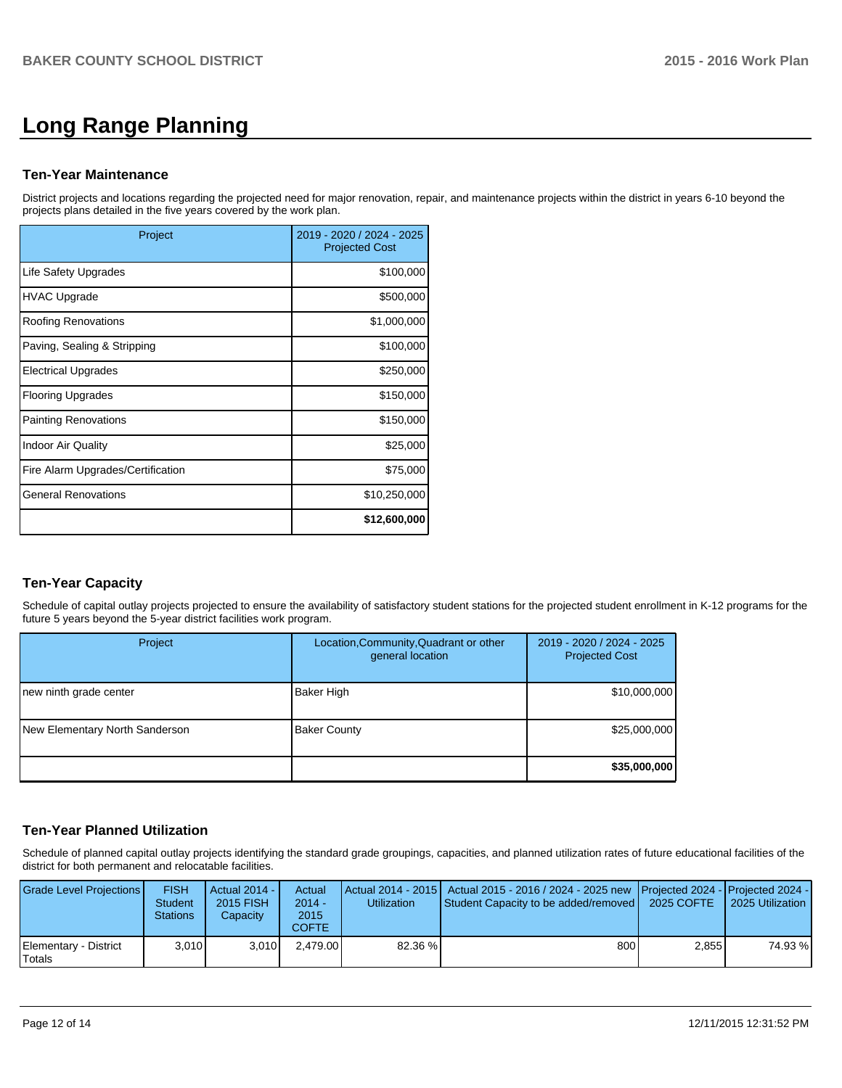# **Long Range Planning**

### **Ten-Year Maintenance**

District projects and locations regarding the projected need for major renovation, repair, and maintenance projects within the district in years 6-10 beyond the projects plans detailed in the five years covered by the work plan.

| Project                           | 2019 - 2020 / 2024 - 2025<br><b>Projected Cost</b> |
|-----------------------------------|----------------------------------------------------|
| Life Safety Upgrades              | \$100,000                                          |
| <b>HVAC Upgrade</b>               | \$500,000                                          |
| <b>Roofing Renovations</b>        | \$1,000,000                                        |
| Paving, Sealing & Stripping       | \$100,000                                          |
| <b>Electrical Upgrades</b>        | \$250,000                                          |
| <b>Flooring Upgrades</b>          | \$150,000                                          |
| <b>Painting Renovations</b>       | \$150,000                                          |
| <b>Indoor Air Quality</b>         | \$25,000                                           |
| Fire Alarm Upgrades/Certification | \$75,000                                           |
| <b>General Renovations</b>        | \$10,250,000                                       |
|                                   | \$12,600,000                                       |

## **Ten-Year Capacity**

Schedule of capital outlay projects projected to ensure the availability of satisfactory student stations for the projected student enrollment in K-12 programs for the future 5 years beyond the 5-year district facilities work program.

| Project                        | Location, Community, Quadrant or other<br>general location | 2019 - 2020 / 2024 - 2025<br><b>Projected Cost</b> |
|--------------------------------|------------------------------------------------------------|----------------------------------------------------|
| new ninth grade center         | Baker High                                                 | \$10,000,000                                       |
| New Elementary North Sanderson | <b>Baker County</b>                                        | \$25,000,000                                       |
|                                |                                                            | \$35,000,000                                       |

## **Ten-Year Planned Utilization**

Schedule of planned capital outlay projects identifying the standard grade groupings, capacities, and planned utilization rates of future educational facilities of the district for both permanent and relocatable facilities.

| Grade Level Projections         | <b>FISH</b><br><b>Student</b><br><b>Stations</b> | Actual 2014 -<br><b>2015 FISH</b><br>Capacity | Actual<br>$2014 -$<br>2015<br>COFTE | <b>Utilization</b> | Actual 2014 - 2015   Actual 2015 - 2016 / 2024 - 2025 new   Projected 2024 -   Projected 2024 -<br>Student Capacity to be added/removed   2025 COFTE |       | 2025 Utilization |
|---------------------------------|--------------------------------------------------|-----------------------------------------------|-------------------------------------|--------------------|------------------------------------------------------------------------------------------------------------------------------------------------------|-------|------------------|
| Elementary - District<br>Totals | 3.010                                            | 3.010                                         | 2.479.00                            | 82.36 %            | 800                                                                                                                                                  | 2.855 | 74.93 %          |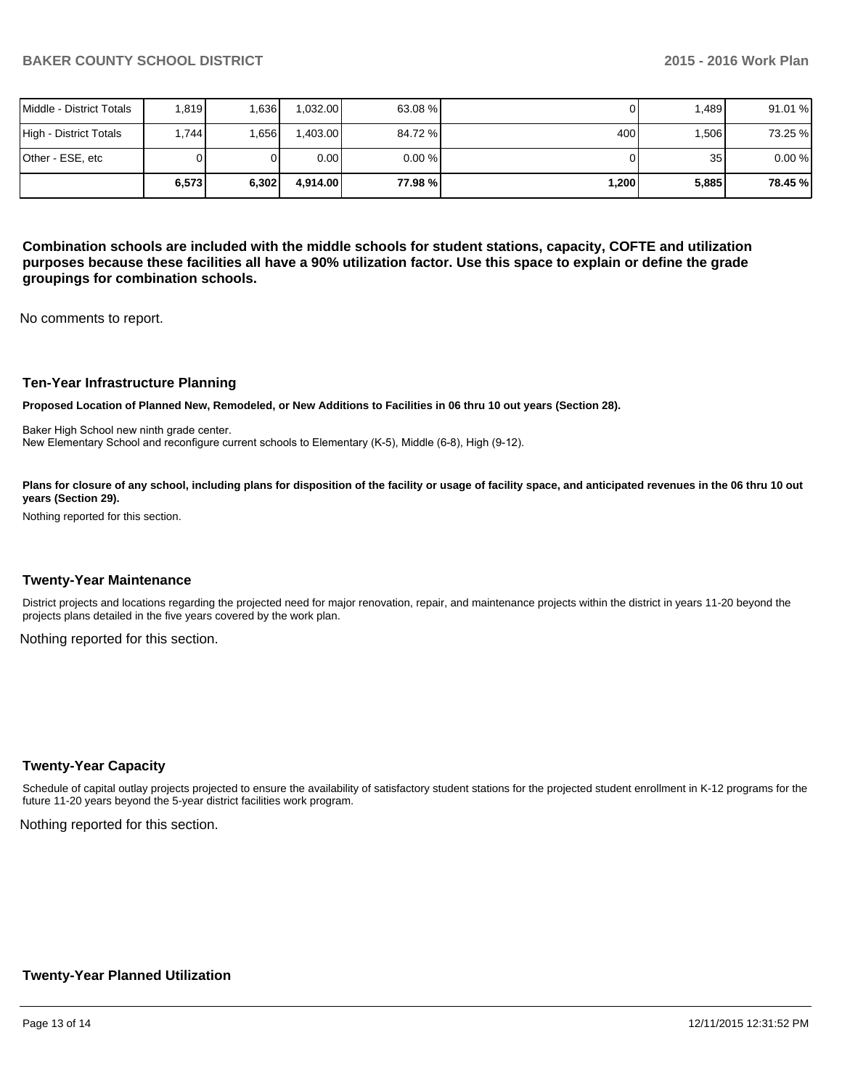|                          | 6,573 | 6,302 | 4.914.00 | 77.98 %l | ا 200.1 | 5,885 | 78.45 % |
|--------------------------|-------|-------|----------|----------|---------|-------|---------|
| IOther - ESE. etc        |       |       | 0.00     | $0.00\%$ |         | 35    | 0.00%   |
| High - District Totals   | .744  | .656  | 1.403.00 | 84.72 %  | 400     | 1,506 | 73.25 % |
| Middle - District Totals | .819  | .636  | 1.032.00 | 63.08 %  |         | .489  | 91.01 % |

**Combination schools are included with the middle schools for student stations, capacity, COFTE and utilization purposes because these facilities all have a 90% utilization factor. Use this space to explain or define the grade groupings for combination schools.**

No comments to report.

#### **Ten-Year Infrastructure Planning**

**Proposed Location of Planned New, Remodeled, or New Additions to Facilities in 06 thru 10 out years (Section 28).**

Baker High School new ninth grade center. New Elementary School and reconfigure current schools to Elementary (K-5), Middle (6-8), High (9-12).

Plans for closure of any school, including plans for disposition of the facility or usage of facility space, and anticipated revenues in the 06 thru 10 out **years (Section 29).**

Nothing reported for this section.

#### **Twenty-Year Maintenance**

District projects and locations regarding the projected need for major renovation, repair, and maintenance projects within the district in years 11-20 beyond the projects plans detailed in the five years covered by the work plan.

Nothing reported for this section.

### **Twenty-Year Capacity**

Schedule of capital outlay projects projected to ensure the availability of satisfactory student stations for the projected student enrollment in K-12 programs for the future 11-20 years beyond the 5-year district facilities work program.

Nothing reported for this section.

### **Twenty-Year Planned Utilization**